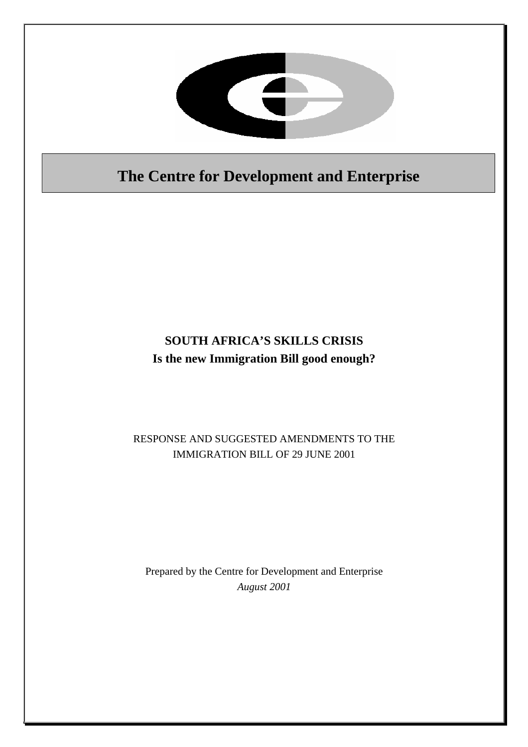

# **The Centre for Development and Enterprise**

# **SOUTH AFRICA'S SKILLS CRISIS Is the new Immigration Bill good enough?**

# RESPONSE AND SUGGESTED AMENDMENTS TO THE IMMIGRATION BILL OF 29 JUNE 2001

# Prepared by the Centre for Development and Enterprise *August 2001*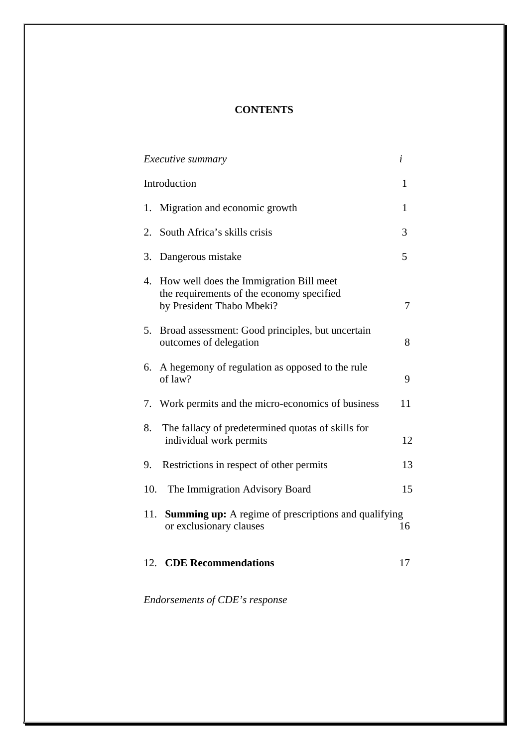#### **CONTENTS**

| <i>Executive summary</i>                                                                                             | i            |
|----------------------------------------------------------------------------------------------------------------------|--------------|
| Introduction                                                                                                         | 1            |
| Migration and economic growth<br>1.                                                                                  | $\mathbf{1}$ |
| South Africa's skills crisis<br>2.                                                                                   | 3            |
| 3. Dangerous mistake                                                                                                 | 5            |
| 4. How well does the Immigration Bill meet<br>the requirements of the economy specified<br>by President Thabo Mbeki? | 7            |
| 5.<br>Broad assessment: Good principles, but uncertain<br>outcomes of delegation                                     | 8            |
| A hegemony of regulation as opposed to the rule<br>6.<br>of law?                                                     | 9            |
| 7. Work permits and the micro-economics of business                                                                  | 11           |
| The fallacy of predetermined quotas of skills for<br>8.<br>individual work permits                                   | 12           |
| Restrictions in respect of other permits<br>9.                                                                       | 13           |
| 10.<br>The Immigration Advisory Board                                                                                | 15           |
| 11.<br><b>Summing up:</b> A regime of prescriptions and qualifying<br>or exclusionary clauses                        | 16           |
| 12. CDE Recommendations                                                                                              | 17           |

*Endorsements of CDE's response*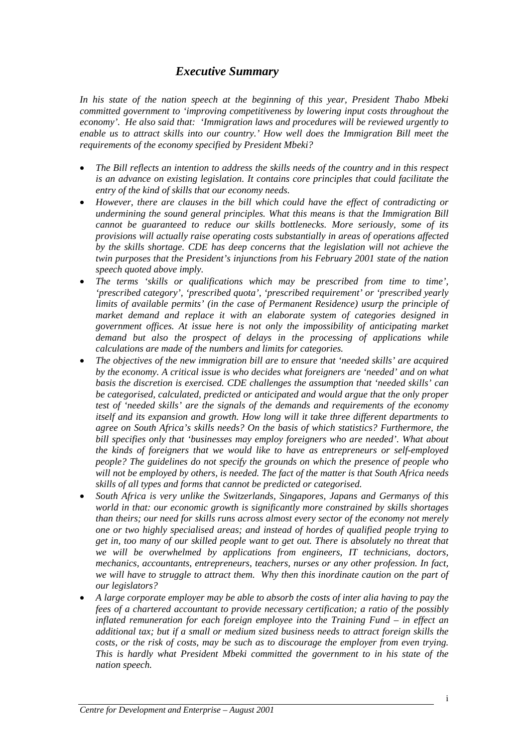#### *Executive Summary*

*In his state of the nation speech at the beginning of this year, President Thabo Mbeki committed government to 'improving competitiveness by lowering input costs throughout the economy'. He also said that: 'Immigration laws and procedures will be reviewed urgently to enable us to attract skills into our country.' How well does the Immigration Bill meet the requirements of the economy specified by President Mbeki?* 

- *The Bill reflects an intention to address the skills needs of the country and in this respect is an advance on existing legislation. It contains core principles that could facilitate the entry of the kind of skills that our economy needs.*
- *However, there are clauses in the bill which could have the effect of contradicting or undermining the sound general principles. What this means is that the Immigration Bill cannot be guaranteed to reduce our skills bottlenecks. More seriously, some of its provisions will actually raise operating costs substantially in areas of operations affected by the skills shortage. CDE has deep concerns that the legislation will not achieve the twin purposes that the President's injunctions from his February 2001 state of the nation speech quoted above imply.*
- *The terms 'skills or qualifications which may be prescribed from time to time', 'prescribed category', 'prescribed quota', 'prescribed requirement' or 'prescribed yearly limits of available permits' (in the case of Permanent Residence) usurp the principle of market demand and replace it with an elaborate system of categories designed in government offices. At issue here is not only the impossibility of anticipating market demand but also the prospect of delays in the processing of applications while calculations are made of the numbers and limits for categories.*
- *The objectives of the new immigration bill are to ensure that 'needed skills' are acquired by the economy. A critical issue is who decides what foreigners are 'needed' and on what basis the discretion is exercised. CDE challenges the assumption that 'needed skills' can be categorised, calculated, predicted or anticipated and would argue that the only proper test of 'needed skills' are the signals of the demands and requirements of the economy itself and its expansion and growth. How long will it take three different departments to agree on South Africa's skills needs? On the basis of which statistics? Furthermore, the bill specifies only that 'businesses may employ foreigners who are needed'. What about the kinds of foreigners that we would like to have as entrepreneurs or self-employed people? The guidelines do not specify the grounds on which the presence of people who will not be employed by others, is needed. The fact of the matter is that South Africa needs skills of all types and forms that cannot be predicted or categorised.*
- *South Africa is very unlike the Switzerlands, Singapores, Japans and Germanys of this world in that: our economic growth is significantly more constrained by skills shortages than theirs; our need for skills runs across almost every sector of the economy not merely one or two highly specialised areas; and instead of hordes of qualified people trying to get in, too many of our skilled people want to get out. There is absolutely no threat that we will be overwhelmed by applications from engineers, IT technicians, doctors, mechanics, accountants, entrepreneurs, teachers, nurses or any other profession. In fact, we will have to struggle to attract them. Why then this inordinate caution on the part of our legislators?*
- *A large corporate employer may be able to absorb the costs of inter alia having to pay the fees of a chartered accountant to provide necessary certification; a ratio of the possibly inflated remuneration for each foreign employee into the Training Fund – in effect an additional tax; but if a small or medium sized business needs to attract foreign skills the costs, or the risk of costs, may be such as to discourage the employer from even trying. This is hardly what President Mbeki committed the government to in his state of the nation speech.*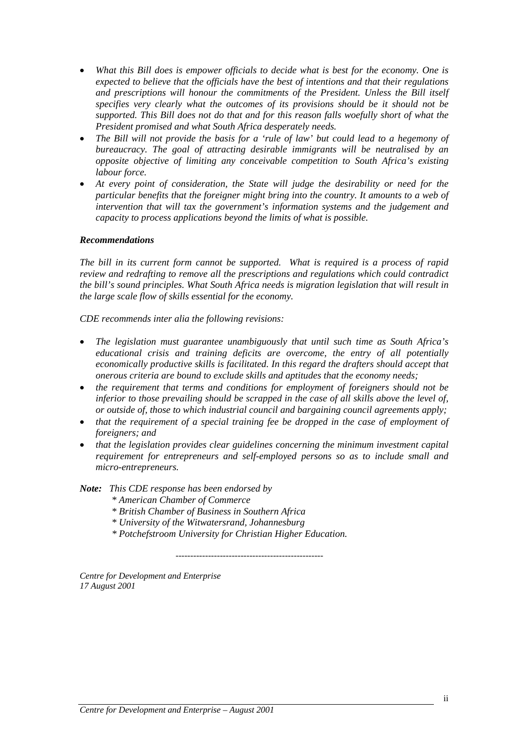- *What this Bill does is empower officials to decide what is best for the economy. One is expected to believe that the officials have the best of intentions and that their regulations and prescriptions will honour the commitments of the President. Unless the Bill itself specifies very clearly what the outcomes of its provisions should be it should not be supported. This Bill does not do that and for this reason falls woefully short of what the President promised and what South Africa desperately needs.*
- *The Bill will not provide the basis for a 'rule of law' but could lead to a hegemony of bureaucracy. The goal of attracting desirable immigrants will be neutralised by an opposite objective of limiting any conceivable competition to South Africa's existing labour force.*
- *At every point of consideration, the State will judge the desirability or need for the particular benefits that the foreigner might bring into the country. It amounts to a web of intervention that will tax the government's information systems and the judgement and capacity to process applications beyond the limits of what is possible.*

#### *Recommendations*

*The bill in its current form cannot be supported. What is required is a process of rapid review and redrafting to remove all the prescriptions and regulations which could contradict the bill's sound principles. What South Africa needs is migration legislation that will result in the large scale flow of skills essential for the economy.* 

*CDE recommends inter alia the following revisions:* 

- *The legislation must guarantee unambiguously that until such time as South Africa's educational crisis and training deficits are overcome, the entry of all potentially economically productive skills is facilitated. In this regard the drafters should accept that onerous criteria are bound to exclude skills and aptitudes that the economy needs;*
- *the requirement that terms and conditions for employment of foreigners should not be inferior to those prevailing should be scrapped in the case of all skills above the level of, or outside of, those to which industrial council and bargaining council agreements apply;*
- *that the requirement of a special training fee be dropped in the case of employment of foreigners; and*
- *that the legislation provides clear guidelines concerning the minimum investment capital requirement for entrepreneurs and self-employed persons so as to include small and micro-entrepreneurs.*

#### *Note: This CDE response has been endorsed by*

- *\* American Chamber of Commerce*
- *\* British Chamber of Business in Southern Africa*
- *\* University of the Witwatersrand, Johannesburg*
- *\* Potchefstroom University for Christian Higher Education.*

*--------------------------------------------------* 

*Centre for Development and Enterprise 17 August 2001*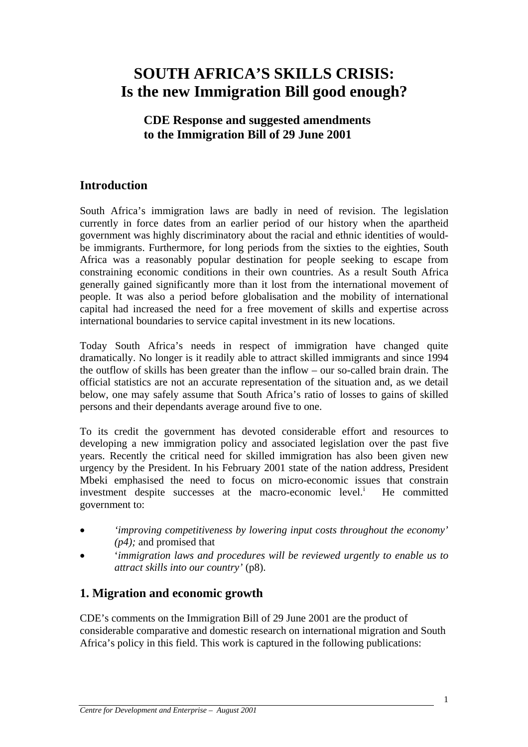# **SOUTH AFRICA'S SKILLS CRISIS: Is the new Immigration Bill good enough?**

### **CDE Response and suggested amendments to the Immigration Bill of 29 June 2001**

# **Introduction**

South Africa's immigration laws are badly in need of revision. The legislation currently in force dates from an earlier period of our history when the apartheid government was highly discriminatory about the racial and ethnic identities of wouldbe immigrants. Furthermore, for long periods from the sixties to the eighties, South Africa was a reasonably popular destination for people seeking to escape from constraining economic conditions in their own countries. As a result South Africa generally gained significantly more than it lost from the international movement of people. It was also a period before globalisation and the mobility of international capital had increased the need for a free movement of skills and expertise across international boundaries to service capital investment in its new locations.

Today South Africa's needs in respect of immigration have changed quite dramatically. No longer is it readily able to attract skilled immigrants and since 1994 the outflow of skills has been greater than the inflow – our so-called brain drain. The official statistics are not an accurate representation of the situation and, as we detail below, one may safely assume that South Africa's ratio of losses to gains of skilled persons and their dependants average around five to one.

To its credit the government has devoted considerable effort and resources to developing a new immigration policy and associated legislation over the past five years. Recently the critical need for skilled immigration has also been given new urgency by the President. In his February 2001 state of the nation address, President Mbeki emphasised the need to focus on micro-economic issues that constrain [i](#page-24-0)nvestment despite successes at the macro-economic level.<sup>i</sup> He committed government to:

- *'improving competitiveness by lowering input costs throughout the economy' (p4);* and promised that
- '*immigration laws and procedures will be reviewed urgently to enable us to attract skills into our country'* (p8).

### **1. Migration and economic growth**

CDE's comments on the Immigration Bill of 29 June 2001 are the product of considerable comparative and domestic research on international migration and South Africa's policy in this field. This work is captured in the following publications: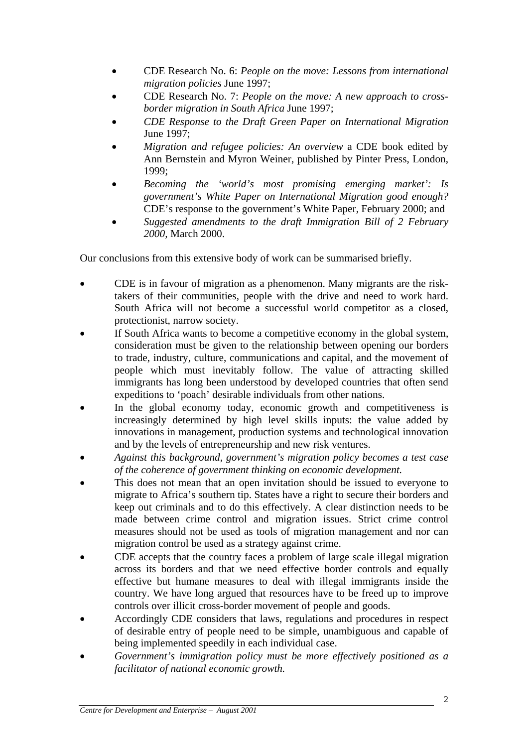- CDE Research No. 6: *People on the move: Lessons from international migration policies* June 1997;
- CDE Research No. 7: *People on the move: A new approach to crossborder migration in South Africa* June 1997;
- *CDE Response to the Draft Green Paper on International Migration* June 1997;
- *Migration and refugee policies: An overview* a CDE book edited by Ann Bernstein and Myron Weiner, published by Pinter Press, London, 1999;
- *Becoming the 'world's most promising emerging market': Is government's White Paper on International Migration good enough?*  CDE's response to the government's White Paper, February 2000; and
- *Suggested amendments to the draft Immigration Bill of 2 February 2000,* March 2000.

Our conclusions from this extensive body of work can be summarised briefly.

- CDE is in favour of migration as a phenomenon. Many migrants are the risktakers of their communities, people with the drive and need to work hard. South Africa will not become a successful world competitor as a closed, protectionist, narrow society.
- If South Africa wants to become a competitive economy in the global system, consideration must be given to the relationship between opening our borders to trade, industry, culture, communications and capital, and the movement of people which must inevitably follow. The value of attracting skilled immigrants has long been understood by developed countries that often send expeditions to 'poach' desirable individuals from other nations.
- In the global economy today, economic growth and competitiveness is increasingly determined by high level skills inputs: the value added by innovations in management, production systems and technological innovation and by the levels of entrepreneurship and new risk ventures.
- *Against this background, government's migration policy becomes a test case of the coherence of government thinking on economic development.*
- This does not mean that an open invitation should be issued to everyone to migrate to Africa's southern tip. States have a right to secure their borders and keep out criminals and to do this effectively. A clear distinction needs to be made between crime control and migration issues. Strict crime control measures should not be used as tools of migration management and nor can migration control be used as a strategy against crime.
- CDE accepts that the country faces a problem of large scale illegal migration across its borders and that we need effective border controls and equally effective but humane measures to deal with illegal immigrants inside the country. We have long argued that resources have to be freed up to improve controls over illicit cross-border movement of people and goods.
- Accordingly CDE considers that laws, regulations and procedures in respect of desirable entry of people need to be simple, unambiguous and capable of being implemented speedily in each individual case.
- *Government's immigration policy must be more effectively positioned as a facilitator of national economic growth.*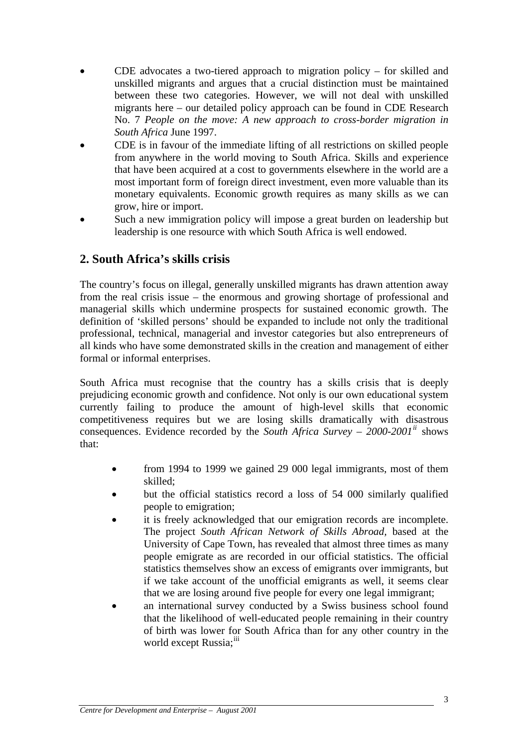- CDE advocates a two-tiered approach to migration policy  $-$  for skilled and unskilled migrants and argues that a crucial distinction must be maintained between these two categories. However, we will not deal with unskilled migrants here – our detailed policy approach can be found in CDE Research No. 7 *People on the move: A new approach to cross-border migration in South Africa* June 1997.
- CDE is in favour of the immediate lifting of all restrictions on skilled people from anywhere in the world moving to South Africa. Skills and experience that have been acquired at a cost to governments elsewhere in the world are a most important form of foreign direct investment, even more valuable than its monetary equivalents. Economic growth requires as many skills as we can grow, hire or import.
- Such a new immigration policy will impose a great burden on leadership but leadership is one resource with which South Africa is well endowed.

# **2. South Africa's skills crisis**

The country's focus on illegal, generally unskilled migrants has drawn attention away from the real crisis issue – the enormous and growing shortage of professional and managerial skills which undermine prospects for sustained economic growth. The definition of 'skilled persons' should be expanded to include not only the traditional professional, technical, managerial and investor categories but also entrepreneurs of all kinds who have some demonstrated skills in the creation and management of either formal or informal enterprises.

South Africa must recognise that the country has a skills crisis that is deeply prejudicing economic growth and confidence. Not only is our own educational system currently failing to produce the amount of high-level skills that economic competitiveness requires but we are losing skills dramatically with disastrous consequences. Evidence recorded by the *South Africa Survey – 2000-2001[ii](#page-24-1)* shows that:

- from 1994 to 1999 we gained 29 000 legal immigrants, most of them skilled;
- but the official statistics record a loss of 54 000 similarly qualified people to emigration;
- it is freely acknowledged that our emigration records are incomplete. The project *South African Network of Skills Abroad,* based at the University of Cape Town, has revealed that almost three times as many people emigrate as are recorded in our official statistics. The official statistics themselves show an excess of emigrants over immigrants, but if we take account of the unofficial emigrants as well, it seems clear that we are losing around five people for every one legal immigrant;
- an international survey conducted by a Swiss business school found that the likelihood of well-educated people remaining in their country of birth was lower for South Africa than for any other country in the world except Russia;<sup>[iii](#page-24-1)</sup>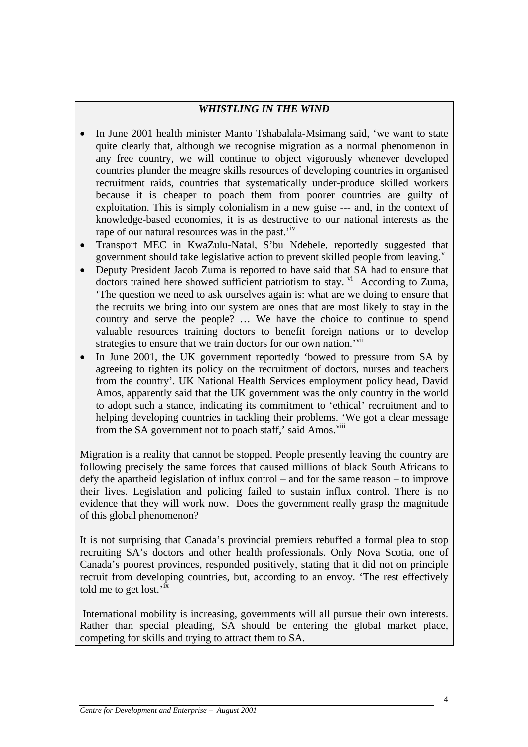#### *WHISTLING IN THE WIND*

- In June 2001 health minister Manto Tshabalala-Msimang said, 'we want to state quite clearly that, although we recognise migration as a normal phenomenon in any free country, we will continue to object vigorously whenever developed countries plunder the meagre skills resources of developing countries in organised recruitment raids, countries that systematically under-produce skilled workers because it is cheaper to poach them from poorer countries are guilty of exploitation. This is simply colonialism in a new guise --- and, in the context of knowledge-based economies, it is as destructive to our national interests as the rape of our natural resources was in the past.<sup>'[iv](#page-24-1)</sup>
- Transport MEC in KwaZulu-Natal, S'bu Ndebele, reportedly suggested that go[v](#page-24-1)ernment should take legislative action to prevent skilled people from leaving. $v^2$
- Deputy President Jacob Zuma is reported to have said that SA had to ensure that doctors trained here showed sufficient patriotism to stay.  $\overline{v}$  According to Zuma, 'The question we need to ask ourselves again is: what are we doing to ensure that the recruits we bring into our system are ones that are most likely to stay in the country and serve the people? … We have the choice to continue to spend valuable resources training doctors to benefit foreign nations or to develop strategies to ensure that we train doctors for our own nation.<sup>'[vii](#page-24-1)</sup>
- In June 2001, the UK government reportedly 'bowed to pressure from SA by agreeing to tighten its policy on the recruitment of doctors, nurses and teachers from the country'. UK National Health Services employment policy head, David Amos, apparently said that the UK government was the only country in the world to adopt such a stance, indicating its commitment to 'ethical' recruitment and to helping developing countries in tackling their problems. 'We got a clear message from the SA government not to poach staff,' said Amos.<sup>[viii](#page-24-1)</sup>

Migration is a reality that cannot be stopped. People presently leaving the country are following precisely the same forces that caused millions of black South Africans to defy the apartheid legislation of influx control – and for the same reason – to improve their lives. Legislation and policing failed to sustain influx control. There is no evidence that they will work now. Does the government really grasp the magnitude of this global phenomenon?

It is not surprising that Canada's provincial premiers rebuffed a formal plea to stop recruiting SA's doctors and other health professionals. Only Nova Scotia, one of Canada's poorest provinces, responded positively, stating that it did not on principle recruit from developing countries, but, according to an envoy. 'The rest effectively told me to get lost.<sup>'[ix](#page-24-1)</sup>

 International mobility is increasing, governments will all pursue their own interests. Rather than special pleading, SA should be entering the global market place, competing for skills and trying to attract them to SA.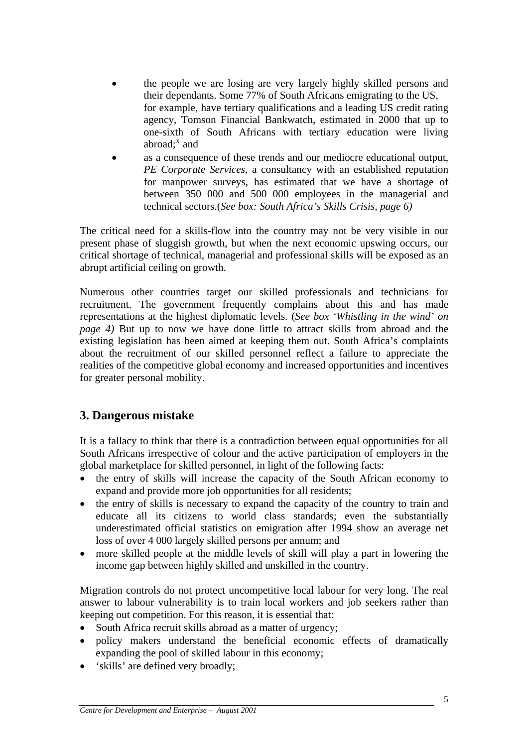- the people we are losing are very largely highly skilled persons and their dependants. Some 77% of South Africans emigrating to the US, for example, have tertiary qualifications and a leading US credit rating agency, Tomson Financial Bankwatch, estimated in 2000 that up to one-sixth of South Africans with tertiary education were living abroad; $^x$  $^x$  and
- as a consequence of these trends and our mediocre educational output, *PE Corporate Services*, a consultancy with an established reputation for manpower surveys, has estimated that we have a shortage of between 350 000 and 500 000 employees in the managerial and technical sectors.(*See box: South Africa's Skills Crisis, page 6)*

The critical need for a skills-flow into the country may not be very visible in our present phase of sluggish growth, but when the next economic upswing occurs, our critical shortage of technical, managerial and professional skills will be exposed as an abrupt artificial ceiling on growth.

Numerous other countries target our skilled professionals and technicians for recruitment. The government frequently complains about this and has made representations at the highest diplomatic levels. (*See box 'Whistling in the wind' on page 4)* But up to now we have done little to attract skills from abroad and the existing legislation has been aimed at keeping them out. South Africa's complaints about the recruitment of our skilled personnel reflect a failure to appreciate the realities of the competitive global economy and increased opportunities and incentives for greater personal mobility.

### **3. Dangerous mistake**

It is a fallacy to think that there is a contradiction between equal opportunities for all South Africans irrespective of colour and the active participation of employers in the global marketplace for skilled personnel, in light of the following facts:

- the entry of skills will increase the capacity of the South African economy to expand and provide more job opportunities for all residents;
- the entry of skills is necessary to expand the capacity of the country to train and educate all its citizens to world class standards; even the substantially underestimated official statistics on emigration after 1994 show an average net loss of over 4 000 largely skilled persons per annum; and
- more skilled people at the middle levels of skill will play a part in lowering the income gap between highly skilled and unskilled in the country.

Migration controls do not protect uncompetitive local labour for very long. The real answer to labour vulnerability is to train local workers and job seekers rather than keeping out competition. For this reason, it is essential that:

- South Africa recruit skills abroad as a matter of urgency;
- policy makers understand the beneficial economic effects of dramatically expanding the pool of skilled labour in this economy;
- 'skills' are defined very broadly: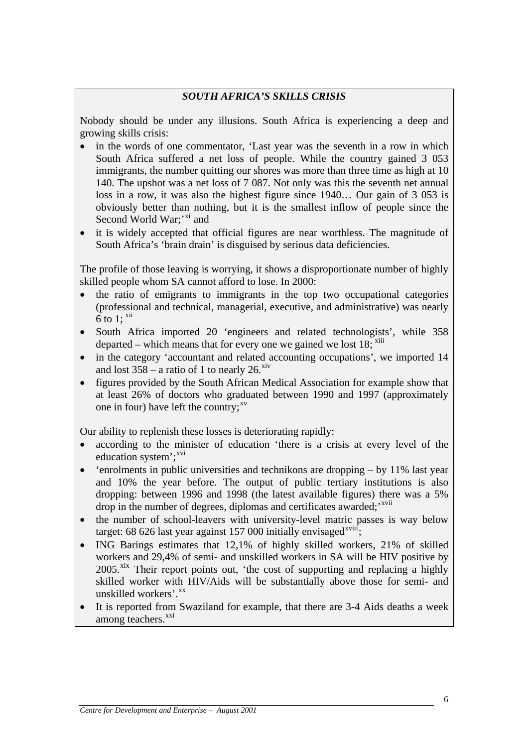#### *SOUTH AFRICA'S SKILLS CRISIS*

Nobody should be under any illusions. South Africa is experiencing a deep and growing skills crisis:

- in the words of one commentator, 'Last year was the seventh in a row in which South Africa suffered a net loss of people. While the country gained 3 053 immigrants, the number quitting our shores was more than three time as high at 10 140. The upshot was a net loss of 7 087. Not only was this the seventh net annual loss in a row, it was also the highest figure since 1940… Our gain of 3 053 is obviously better than nothing, but it is the smallest inflow of people since the Second World War; $'$ <sup>[xi](#page-24-1)</sup> and
- it is widely accepted that official figures are near worthless. The magnitude of South Africa's 'brain drain' is disguised by serious data deficiencies.

The profile of those leaving is worrying, it shows a disproportionate number of highly skilled people whom SA cannot afford to lose. In 2000:

- the ratio of emigrants to immigrants in the top two occupational categories (professional and technical, managerial, executive, and administrative) was nearly  $\overline{6}$  to 1:  $\overline{^{xii}}$  $\overline{^{xii}}$  $\overline{^{xii}}$
- South Africa imported 20 'engineers and related technologists', while 358 departed – which means that for every one we gained we lost  $18$ ;  $\frac{\text{xiii}}{\text{m}}$  $\frac{\text{xiii}}{\text{m}}$  $\frac{\text{xiii}}{\text{m}}$
- in the category 'accountant and related accounting occupations', we imported 14 and lost  $358 - a$  ratio of 1 to nearly 26.<sup>[xiv](#page-24-1)</sup>
- figures provided by the South African Medical Association for example show that at least 26% of doctors who graduated between 1990 and 1997 (approximately one in four) have left the country; $x^v$

Our ability to replenish these losses is deteriorating rapidly:

- according to the minister of education 'there is a crisis at every level of the education system $\cdot$ ;<sup>[xvi](#page-24-1)</sup>
- 'enrolments in public universities and technikons are dropping by 11% last year and 10% the year before. The output of public tertiary institutions is also dropping: between 1996 and 1998 (the latest available figures) there was a 5% drop in the number of degrees, diplomas and certificates awarded;<sup>'[xvii](#page-24-1)</sup>
- the number of school-leavers with university-level matric passes is way below target: 68 626 last year against 157 000 initially envisaged $x^{viii}$ ;
- ING Barings estimates that 12.1% of highly skilled workers, 21% of skilled workers and 29,4% of semi- and unskilled workers in SA will be HIV positive by  $2005$ <sup>[xix](#page-24-1)</sup> Their report points out, 'the cost of supporting and replacing a highly skilled worker with HIV/Aids will be substantially above those for semi- and unskilled workers'.<sup>[xx](#page-24-1)</sup>
- It is reported from Swaziland for example, that there are 3-4 Aids deaths a week among teachers.<sup>[xxi](#page-24-1)</sup>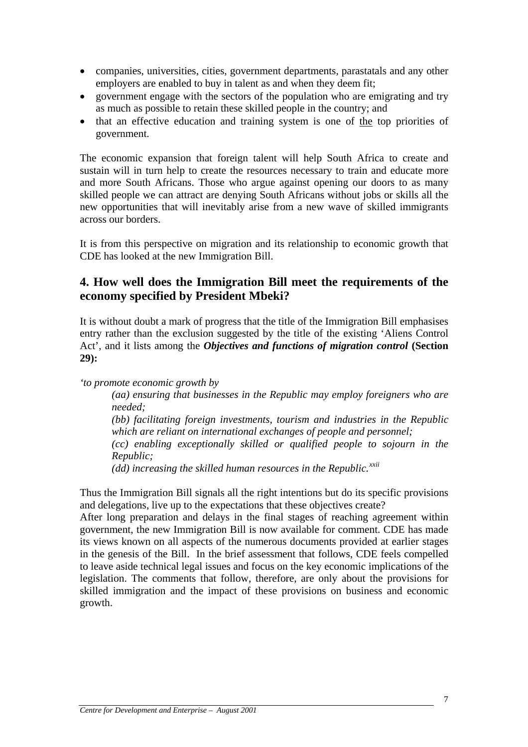- companies, universities, cities, government departments, parastatals and any other employers are enabled to buy in talent as and when they deem fit;
- government engage with the sectors of the population who are emigrating and try as much as possible to retain these skilled people in the country; and
- that an effective education and training system is one of the top priorities of government.

The economic expansion that foreign talent will help South Africa to create and sustain will in turn help to create the resources necessary to train and educate more and more South Africans. Those who argue against opening our doors to as many skilled people we can attract are denying South Africans without jobs or skills all the new opportunities that will inevitably arise from a new wave of skilled immigrants across our borders.

It is from this perspective on migration and its relationship to economic growth that CDE has looked at the new Immigration Bill.

#### **4. How well does the Immigration Bill meet the requirements of the economy specified by President Mbeki?**

It is without doubt a mark of progress that the title of the Immigration Bill emphasises entry rather than the exclusion suggested by the title of the existing 'Aliens Control Act', and it lists among the *Objectives and functions of migration control* **(Section 29):** 

*'to promote economic growth by* 

*(aa) ensuring that businesses in the Republic may employ foreigners who are needed;* 

*(bb) facilitating foreign investments, tourism and industries in the Republic which are reliant on international exchanges of people and personnel;* 

*(cc) enabling exceptionally skilled or qualified people to sojourn in the Republic;* 

*(dd) increasing the skilled human resources in the Republic.[xxii](#page-24-1)* 

Thus the Immigration Bill signals all the right intentions but do its specific provisions and delegations, live up to the expectations that these objectives create?

After long preparation and delays in the final stages of reaching agreement within government, the new Immigration Bill is now available for comment. CDE has made its views known on all aspects of the numerous documents provided at earlier stages in the genesis of the Bill. In the brief assessment that follows, CDE feels compelled to leave aside technical legal issues and focus on the key economic implications of the legislation. The comments that follow, therefore, are only about the provisions for skilled immigration and the impact of these provisions on business and economic growth.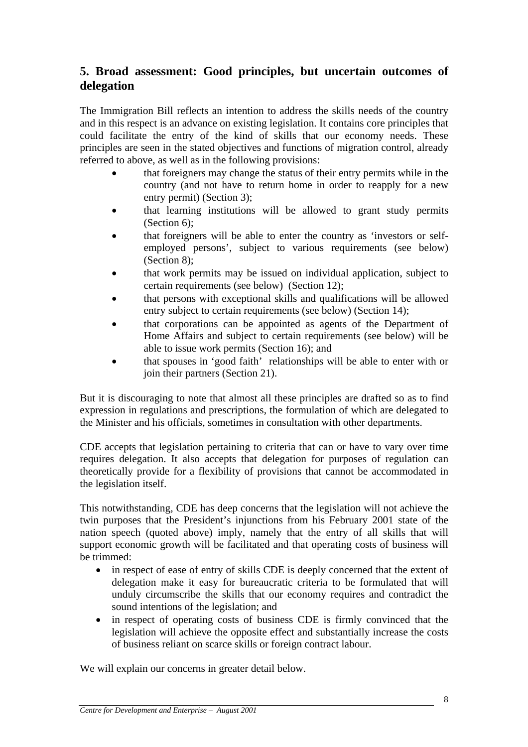# **5. Broad assessment: Good principles, but uncertain outcomes of delegation**

The Immigration Bill reflects an intention to address the skills needs of the country and in this respect is an advance on existing legislation. It contains core principles that could facilitate the entry of the kind of skills that our economy needs. These principles are seen in the stated objectives and functions of migration control, already referred to above, as well as in the following provisions:

- that foreigners may change the status of their entry permits while in the country (and not have to return home in order to reapply for a new entry permit) (Section 3);
- that learning institutions will be allowed to grant study permits (Section 6);
- that foreigners will be able to enter the country as 'investors or selfemployed persons', subject to various requirements (see below) (Section 8);
- that work permits may be issued on individual application, subject to certain requirements (see below) (Section 12);
- that persons with exceptional skills and qualifications will be allowed entry subject to certain requirements (see below) (Section 14);
- that corporations can be appointed as agents of the Department of Home Affairs and subject to certain requirements (see below) will be able to issue work permits (Section 16); and
- that spouses in 'good faith' relationships will be able to enter with or join their partners (Section 21).

But it is discouraging to note that almost all these principles are drafted so as to find expression in regulations and prescriptions, the formulation of which are delegated to the Minister and his officials, sometimes in consultation with other departments.

CDE accepts that legislation pertaining to criteria that can or have to vary over time requires delegation. It also accepts that delegation for purposes of regulation can theoretically provide for a flexibility of provisions that cannot be accommodated in the legislation itself.

This notwithstanding, CDE has deep concerns that the legislation will not achieve the twin purposes that the President's injunctions from his February 2001 state of the nation speech (quoted above) imply, namely that the entry of all skills that will support economic growth will be facilitated and that operating costs of business will be trimmed:

- in respect of ease of entry of skills CDE is deeply concerned that the extent of delegation make it easy for bureaucratic criteria to be formulated that will unduly circumscribe the skills that our economy requires and contradict the sound intentions of the legislation; and
- in respect of operating costs of business CDE is firmly convinced that the legislation will achieve the opposite effect and substantially increase the costs of business reliant on scarce skills or foreign contract labour.

We will explain our concerns in greater detail below.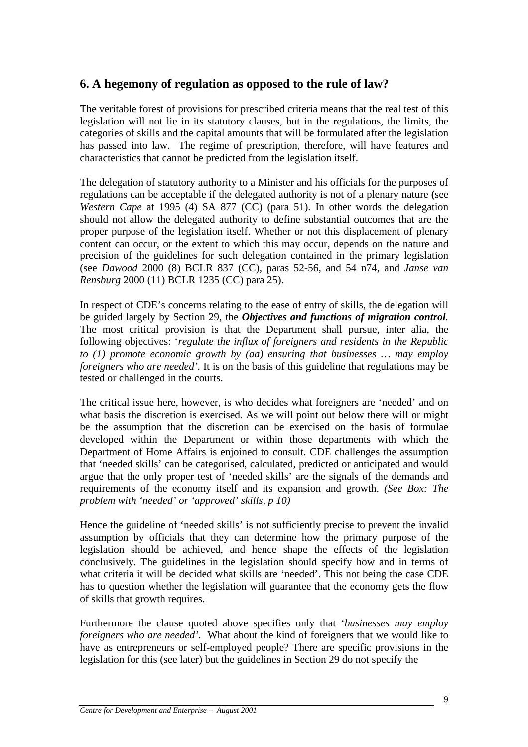### **6. A hegemony of regulation as opposed to the rule of law?**

The veritable forest of provisions for prescribed criteria means that the real test of this legislation will not lie in its statutory clauses, but in the regulations, the limits, the categories of skills and the capital amounts that will be formulated after the legislation has passed into law. The regime of prescription, therefore, will have features and characteristics that cannot be predicted from the legislation itself.

The delegation of statutory authority to a Minister and his officials for the purposes of regulations can be acceptable if the delegated authority is not of a plenary nature **(**see *Western Cape* at 1995 (4) SA 877 (CC) (para 51). In other words the delegation should not allow the delegated authority to define substantial outcomes that are the proper purpose of the legislation itself. Whether or not this displacement of plenary content can occur, or the extent to which this may occur, depends on the nature and precision of the guidelines for such delegation contained in the primary legislation (see *Dawood* 2000 (8) BCLR 837 (CC), paras 52-56, and 54 n74, and *Janse van Rensburg* 2000 (11) BCLR 1235 (CC) para 25).

In respect of CDE's concerns relating to the ease of entry of skills, the delegation will be guided largely by Section 29, the *Objectives and functions of migration control.* The most critical provision is that the Department shall pursue, inter alia, the following objectives: '*regulate the influx of foreigners and residents in the Republic to (1) promote economic growth by (aa) ensuring that businesses … may employ foreigners who are needed'.* It is on the basis of this guideline that regulations may be tested or challenged in the courts.

The critical issue here, however, is who decides what foreigners are 'needed' and on what basis the discretion is exercised. As we will point out below there will or might be the assumption that the discretion can be exercised on the basis of formulae developed within the Department or within those departments with which the Department of Home Affairs is enjoined to consult. CDE challenges the assumption that 'needed skills' can be categorised, calculated, predicted or anticipated and would argue that the only proper test of 'needed skills' are the signals of the demands and requirements of the economy itself and its expansion and growth. *(See Box: The problem with 'needed' or 'approved' skills, p 10)* 

Hence the guideline of 'needed skills' is not sufficiently precise to prevent the invalid assumption by officials that they can determine how the primary purpose of the legislation should be achieved, and hence shape the effects of the legislation conclusively. The guidelines in the legislation should specify how and in terms of what criteria it will be decided what skills are 'needed'. This not being the case CDE has to question whether the legislation will guarantee that the economy gets the flow of skills that growth requires.

Furthermore the clause quoted above specifies only that '*businesses may employ foreigners who are needed'.* What about the kind of foreigners that we would like to have as entrepreneurs or self-employed people? There are specific provisions in the legislation for this (see later) but the guidelines in Section 29 do not specify the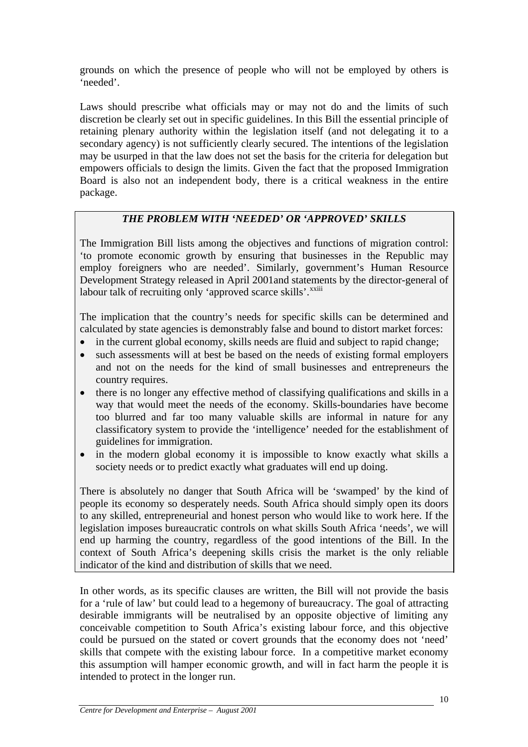grounds on which the presence of people who will not be employed by others is 'needed'.

Laws should prescribe what officials may or may not do and the limits of such discretion be clearly set out in specific guidelines. In this Bill the essential principle of retaining plenary authority within the legislation itself (and not delegating it to a secondary agency) is not sufficiently clearly secured. The intentions of the legislation may be usurped in that the law does not set the basis for the criteria for delegation but empowers officials to design the limits. Given the fact that the proposed Immigration Board is also not an independent body, there is a critical weakness in the entire package.

#### *THE PROBLEM WITH 'NEEDED' OR 'APPROVED' SKILLS*

The Immigration Bill lists among the objectives and functions of migration control: 'to promote economic growth by ensuring that businesses in the Republic may employ foreigners who are needed'. Similarly, government's Human Resource Development Strategy released in April 2001and statements by the director-general of labour talk of recruiting only 'approved scarce skills'.<sup>[xxiii](#page-24-1)</sup>

The implication that the country's needs for specific skills can be determined and calculated by state agencies is demonstrably false and bound to distort market forces:

- in the current global economy, skills needs are fluid and subject to rapid change;
- such assessments will at best be based on the needs of existing formal employers and not on the needs for the kind of small businesses and entrepreneurs the country requires.
- there is no longer any effective method of classifying qualifications and skills in a way that would meet the needs of the economy. Skills-boundaries have become too blurred and far too many valuable skills are informal in nature for any classificatory system to provide the 'intelligence' needed for the establishment of guidelines for immigration.
- in the modern global economy it is impossible to know exactly what skills a society needs or to predict exactly what graduates will end up doing.

There is absolutely no danger that South Africa will be 'swamped' by the kind of people its economy so desperately needs. South Africa should simply open its doors to any skilled, entrepreneurial and honest person who would like to work here. If the legislation imposes bureaucratic controls on what skills South Africa 'needs', we will end up harming the country, regardless of the good intentions of the Bill. In the context of South Africa's deepening skills crisis the market is the only reliable indicator of the kind and distribution of skills that we need.

In other words, as its specific clauses are written, the Bill will not provide the basis for a 'rule of law' but could lead to a hegemony of bureaucracy. The goal of attracting desirable immigrants will be neutralised by an opposite objective of limiting any conceivable competition to South Africa's existing labour force, and this objective could be pursued on the stated or covert grounds that the economy does not 'need' skills that compete with the existing labour force. In a competitive market economy this assumption will hamper economic growth, and will in fact harm the people it is intended to protect in the longer run.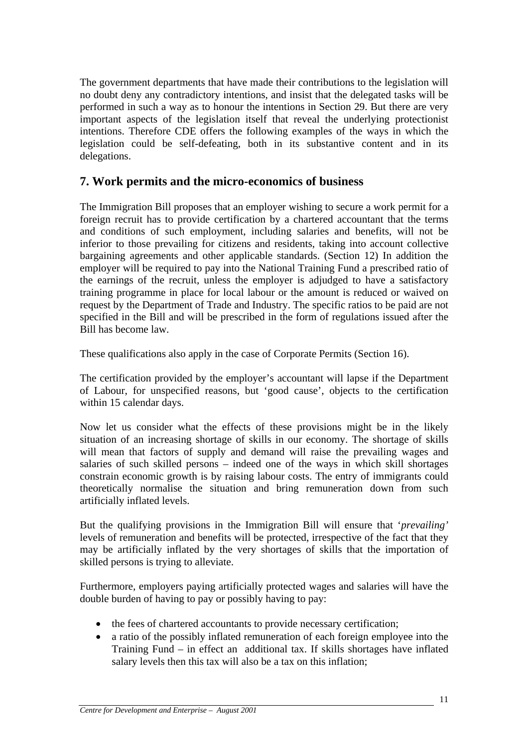The government departments that have made their contributions to the legislation will no doubt deny any contradictory intentions, and insist that the delegated tasks will be performed in such a way as to honour the intentions in Section 29. But there are very important aspects of the legislation itself that reveal the underlying protectionist intentions. Therefore CDE offers the following examples of the ways in which the legislation could be self-defeating, both in its substantive content and in its delegations.

### **7. Work permits and the micro-economics of business**

The Immigration Bill proposes that an employer wishing to secure a work permit for a foreign recruit has to provide certification by a chartered accountant that the terms and conditions of such employment, including salaries and benefits, will not be inferior to those prevailing for citizens and residents, taking into account collective bargaining agreements and other applicable standards. (Section 12) In addition the employer will be required to pay into the National Training Fund a prescribed ratio of the earnings of the recruit, unless the employer is adjudged to have a satisfactory training programme in place for local labour or the amount is reduced or waived on request by the Department of Trade and Industry. The specific ratios to be paid are not specified in the Bill and will be prescribed in the form of regulations issued after the Bill has become law.

These qualifications also apply in the case of Corporate Permits (Section 16).

The certification provided by the employer's accountant will lapse if the Department of Labour, for unspecified reasons, but 'good cause', objects to the certification within 15 calendar days.

Now let us consider what the effects of these provisions might be in the likely situation of an increasing shortage of skills in our economy. The shortage of skills will mean that factors of supply and demand will raise the prevailing wages and salaries of such skilled persons – indeed one of the ways in which skill shortages constrain economic growth is by raising labour costs. The entry of immigrants could theoretically normalise the situation and bring remuneration down from such artificially inflated levels.

But the qualifying provisions in the Immigration Bill will ensure that '*prevailing'*  levels of remuneration and benefits will be protected, irrespective of the fact that they may be artificially inflated by the very shortages of skills that the importation of skilled persons is trying to alleviate.

Furthermore, employers paying artificially protected wages and salaries will have the double burden of having to pay or possibly having to pay:

- the fees of chartered accountants to provide necessary certification;
- a ratio of the possibly inflated remuneration of each foreign employee into the Training Fund – in effect an additional tax. If skills shortages have inflated salary levels then this tax will also be a tax on this inflation;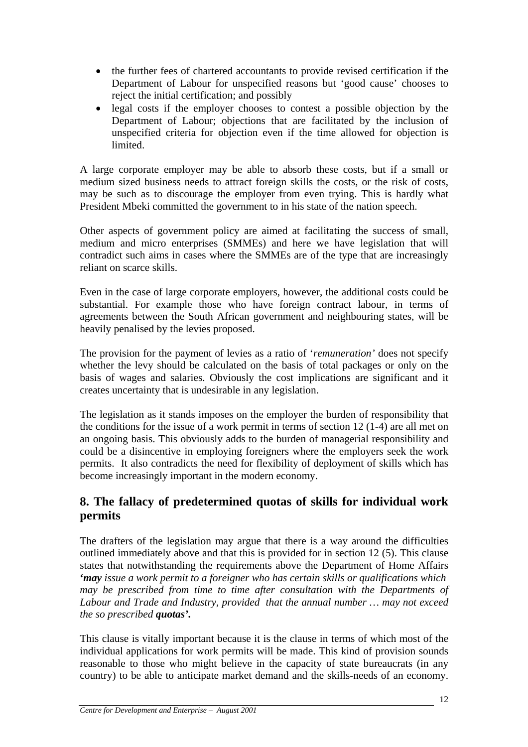- the further fees of chartered accountants to provide revised certification if the Department of Labour for unspecified reasons but 'good cause' chooses to reject the initial certification; and possibly
- legal costs if the employer chooses to contest a possible objection by the Department of Labour; objections that are facilitated by the inclusion of unspecified criteria for objection even if the time allowed for objection is limited.

A large corporate employer may be able to absorb these costs, but if a small or medium sized business needs to attract foreign skills the costs, or the risk of costs, may be such as to discourage the employer from even trying. This is hardly what President Mbeki committed the government to in his state of the nation speech.

Other aspects of government policy are aimed at facilitating the success of small, medium and micro enterprises (SMMEs) and here we have legislation that will contradict such aims in cases where the SMMEs are of the type that are increasingly reliant on scarce skills.

Even in the case of large corporate employers, however, the additional costs could be substantial. For example those who have foreign contract labour, in terms of agreements between the South African government and neighbouring states, will be heavily penalised by the levies proposed.

The provision for the payment of levies as a ratio of '*remuneration'* does not specify whether the levy should be calculated on the basis of total packages or only on the basis of wages and salaries. Obviously the cost implications are significant and it creates uncertainty that is undesirable in any legislation.

The legislation as it stands imposes on the employer the burden of responsibility that the conditions for the issue of a work permit in terms of section 12 (1-4) are all met on an ongoing basis. This obviously adds to the burden of managerial responsibility and could be a disincentive in employing foreigners where the employers seek the work permits. It also contradicts the need for flexibility of deployment of skills which has become increasingly important in the modern economy.

# **8. The fallacy of predetermined quotas of skills for individual work permits**

The drafters of the legislation may argue that there is a way around the difficulties outlined immediately above and that this is provided for in section 12 (5). This clause states that notwithstanding the requirements above the Department of Home Affairs **'***may issue a work permit to a foreigner who has certain skills or qualifications which may be prescribed from time to time after consultation with the Departments of Labour and Trade and Industry, provided that the annual number … may not exceed the so prescribed quotas'.* 

This clause is vitally important because it is the clause in terms of which most of the individual applications for work permits will be made. This kind of provision sounds reasonable to those who might believe in the capacity of state bureaucrats (in any country) to be able to anticipate market demand and the skills-needs of an economy.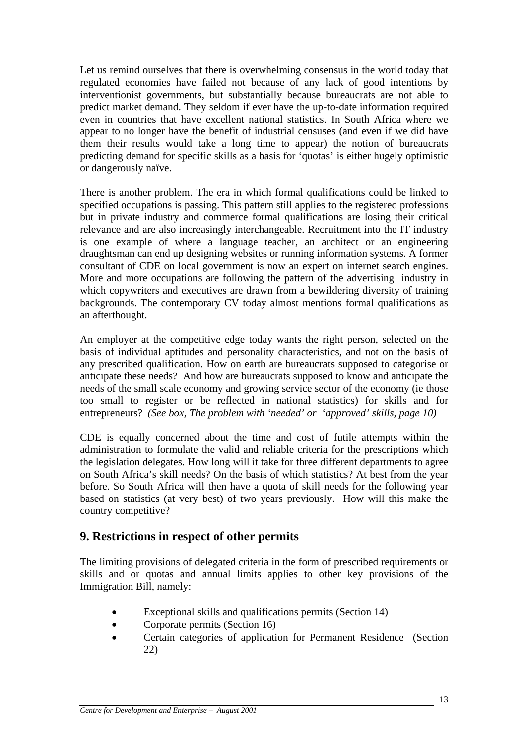Let us remind ourselves that there is overwhelming consensus in the world today that regulated economies have failed not because of any lack of good intentions by interventionist governments, but substantially because bureaucrats are not able to predict market demand. They seldom if ever have the up-to-date information required even in countries that have excellent national statistics. In South Africa where we appear to no longer have the benefit of industrial censuses (and even if we did have them their results would take a long time to appear) the notion of bureaucrats predicting demand for specific skills as a basis for 'quotas' is either hugely optimistic or dangerously naïve.

There is another problem. The era in which formal qualifications could be linked to specified occupations is passing. This pattern still applies to the registered professions but in private industry and commerce formal qualifications are losing their critical relevance and are also increasingly interchangeable. Recruitment into the IT industry is one example of where a language teacher, an architect or an engineering draughtsman can end up designing websites or running information systems. A former consultant of CDE on local government is now an expert on internet search engines. More and more occupations are following the pattern of the advertising industry in which copywriters and executives are drawn from a bewildering diversity of training backgrounds. The contemporary CV today almost mentions formal qualifications as an afterthought.

An employer at the competitive edge today wants the right person, selected on the basis of individual aptitudes and personality characteristics, and not on the basis of any prescribed qualification. How on earth are bureaucrats supposed to categorise or anticipate these needs? And how are bureaucrats supposed to know and anticipate the needs of the small scale economy and growing service sector of the economy (ie those too small to register or be reflected in national statistics) for skills and for entrepreneurs? *(See box, The problem with 'needed' or 'approved' skills, page 10)* 

CDE is equally concerned about the time and cost of futile attempts within the administration to formulate the valid and reliable criteria for the prescriptions which the legislation delegates. How long will it take for three different departments to agree on South Africa's skill needs? On the basis of which statistics? At best from the year before. So South Africa will then have a quota of skill needs for the following year based on statistics (at very best) of two years previously. How will this make the country competitive?

### **9. Restrictions in respect of other permits**

The limiting provisions of delegated criteria in the form of prescribed requirements or skills and or quotas and annual limits applies to other key provisions of the Immigration Bill, namely:

- Exceptional skills and qualifications permits (Section 14)
- Corporate permits (Section 16)
- Certain categories of application for Permanent Residence (Section 22)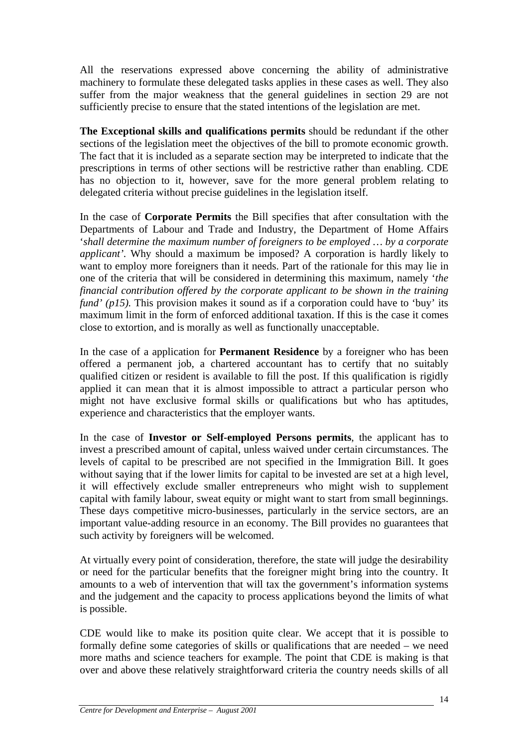All the reservations expressed above concerning the ability of administrative machinery to formulate these delegated tasks applies in these cases as well. They also suffer from the major weakness that the general guidelines in section 29 are not sufficiently precise to ensure that the stated intentions of the legislation are met.

**The Exceptional skills and qualifications permits** should be redundant if the other sections of the legislation meet the objectives of the bill to promote economic growth. The fact that it is included as a separate section may be interpreted to indicate that the prescriptions in terms of other sections will be restrictive rather than enabling. CDE has no objection to it, however, save for the more general problem relating to delegated criteria without precise guidelines in the legislation itself.

In the case of **Corporate Permits** the Bill specifies that after consultation with the Departments of Labour and Trade and Industry, the Department of Home Affairs '*shall determine the maximum number of foreigners to be employed … by a corporate applicant'.* Why should a maximum be imposed? A corporation is hardly likely to want to employ more foreigners than it needs. Part of the rationale for this may lie in one of the criteria that will be considered in determining this maximum, namely '*the financial contribution offered by the corporate applicant to be shown in the training fund' (p15).* This provision makes it sound as if a corporation could have to 'buy' its maximum limit in the form of enforced additional taxation. If this is the case it comes close to extortion, and is morally as well as functionally unacceptable.

In the case of a application for **Permanent Residence** by a foreigner who has been offered a permanent job, a chartered accountant has to certify that no suitably qualified citizen or resident is available to fill the post. If this qualification is rigidly applied it can mean that it is almost impossible to attract a particular person who might not have exclusive formal skills or qualifications but who has aptitudes, experience and characteristics that the employer wants.

In the case of **Investor or Self-employed Persons permits**, the applicant has to invest a prescribed amount of capital, unless waived under certain circumstances. The levels of capital to be prescribed are not specified in the Immigration Bill. It goes without saying that if the lower limits for capital to be invested are set at a high level, it will effectively exclude smaller entrepreneurs who might wish to supplement capital with family labour, sweat equity or might want to start from small beginnings. These days competitive micro-businesses, particularly in the service sectors, are an important value-adding resource in an economy. The Bill provides no guarantees that such activity by foreigners will be welcomed.

At virtually every point of consideration, therefore, the state will judge the desirability or need for the particular benefits that the foreigner might bring into the country. It amounts to a web of intervention that will tax the government's information systems and the judgement and the capacity to process applications beyond the limits of what is possible.

CDE would like to make its position quite clear. We accept that it is possible to formally define some categories of skills or qualifications that are needed – we need more maths and science teachers for example. The point that CDE is making is that over and above these relatively straightforward criteria the country needs skills of all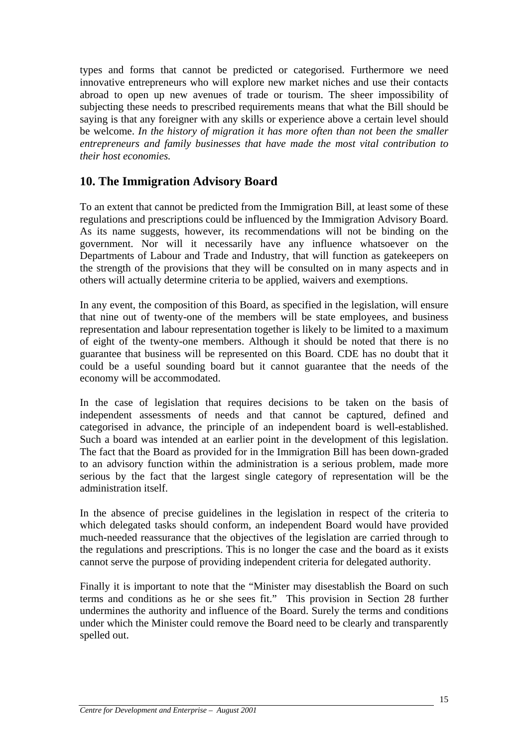types and forms that cannot be predicted or categorised. Furthermore we need innovative entrepreneurs who will explore new market niches and use their contacts abroad to open up new avenues of trade or tourism. The sheer impossibility of subjecting these needs to prescribed requirements means that what the Bill should be saying is that any foreigner with any skills or experience above a certain level should be welcome. *In the history of migration it has more often than not been the smaller entrepreneurs and family businesses that have made the most vital contribution to their host economies.* 

# **10. The Immigration Advisory Board**

To an extent that cannot be predicted from the Immigration Bill, at least some of these regulations and prescriptions could be influenced by the Immigration Advisory Board. As its name suggests, however, its recommendations will not be binding on the government. Nor will it necessarily have any influence whatsoever on the Departments of Labour and Trade and Industry, that will function as gatekeepers on the strength of the provisions that they will be consulted on in many aspects and in others will actually determine criteria to be applied, waivers and exemptions.

In any event, the composition of this Board, as specified in the legislation, will ensure that nine out of twenty-one of the members will be state employees, and business representation and labour representation together is likely to be limited to a maximum of eight of the twenty-one members. Although it should be noted that there is no guarantee that business will be represented on this Board. CDE has no doubt that it could be a useful sounding board but it cannot guarantee that the needs of the economy will be accommodated.

In the case of legislation that requires decisions to be taken on the basis of independent assessments of needs and that cannot be captured, defined and categorised in advance, the principle of an independent board is well-established. Such a board was intended at an earlier point in the development of this legislation. The fact that the Board as provided for in the Immigration Bill has been down-graded to an advisory function within the administration is a serious problem, made more serious by the fact that the largest single category of representation will be the administration itself.

In the absence of precise guidelines in the legislation in respect of the criteria to which delegated tasks should conform, an independent Board would have provided much-needed reassurance that the objectives of the legislation are carried through to the regulations and prescriptions. This is no longer the case and the board as it exists cannot serve the purpose of providing independent criteria for delegated authority.

Finally it is important to note that the "Minister may disestablish the Board on such terms and conditions as he or she sees fit." This provision in Section 28 further undermines the authority and influence of the Board. Surely the terms and conditions under which the Minister could remove the Board need to be clearly and transparently spelled out.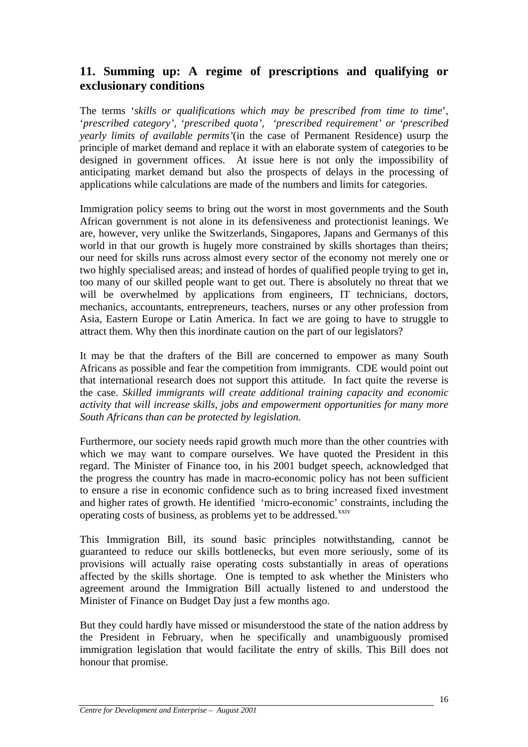# **11. Summing up: A regime of prescriptions and qualifying or exclusionary conditions**

The terms '*skills or qualifications which may be prescribed from time to time*', '*prescribed category', 'prescribed quota', 'prescribed requirement' or 'prescribed yearly limits of available permits'*(in the case of Permanent Residence) usurp the principle of market demand and replace it with an elaborate system of categories to be designed in government offices. At issue here is not only the impossibility of anticipating market demand but also the prospects of delays in the processing of applications while calculations are made of the numbers and limits for categories.

Immigration policy seems to bring out the worst in most governments and the South African government is not alone in its defensiveness and protectionist leanings. We are, however, very unlike the Switzerlands, Singapores, Japans and Germanys of this world in that our growth is hugely more constrained by skills shortages than theirs; our need for skills runs across almost every sector of the economy not merely one or two highly specialised areas; and instead of hordes of qualified people trying to get in, too many of our skilled people want to get out. There is absolutely no threat that we will be overwhelmed by applications from engineers, IT technicians, doctors, mechanics, accountants, entrepreneurs, teachers, nurses or any other profession from Asia, Eastern Europe or Latin America. In fact we are going to have to struggle to attract them. Why then this inordinate caution on the part of our legislators?

It may be that the drafters of the Bill are concerned to empower as many South Africans as possible and fear the competition from immigrants. CDE would point out that international research does not support this attitude. In fact quite the reverse is the case. *Skilled immigrants will create additional training capacity and economic activity that will increase skills, jobs and empowerment opportunities for many more South Africans than can be protected by legislation.* 

Furthermore, our society needs rapid growth much more than the other countries with which we may want to compare ourselves. We have quoted the President in this regard. The Minister of Finance too, in his 2001 budget speech, acknowledged that the progress the country has made in macro-economic policy has not been sufficient to ensure a rise in economic confidence such as to bring increased fixed investment and higher rates of growth. He identified 'micro-economic' constraints, including the operating costs of business, as problems yet to be addressed.<sup>[xxiv](#page-24-1)</sup>

This Immigration Bill, its sound basic principles notwithstanding, cannot be guaranteed to reduce our skills bottlenecks, but even more seriously, some of its provisions will actually raise operating costs substantially in areas of operations affected by the skills shortage. One is tempted to ask whether the Ministers who agreement around the Immigration Bill actually listened to and understood the Minister of Finance on Budget Day just a few months ago.

But they could hardly have missed or misunderstood the state of the nation address by the President in February, when he specifically and unambiguously promised immigration legislation that would facilitate the entry of skills. This Bill does not honour that promise.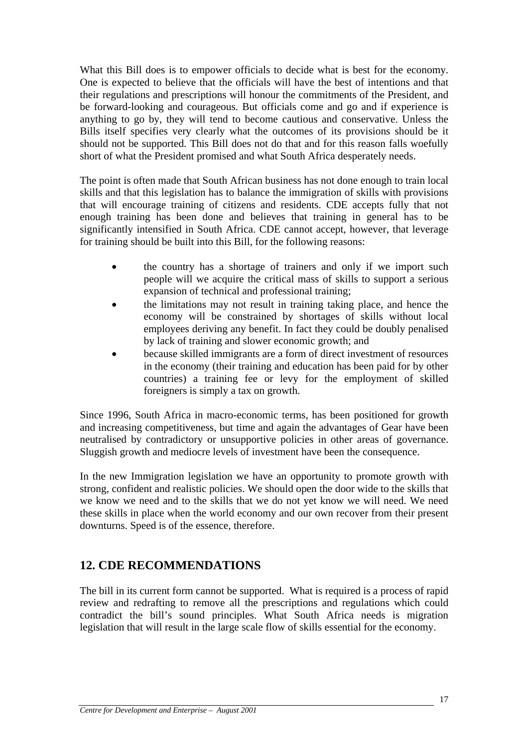What this Bill does is to empower officials to decide what is best for the economy. One is expected to believe that the officials will have the best of intentions and that their regulations and prescriptions will honour the commitments of the President, and be forward-looking and courageous. But officials come and go and if experience is anything to go by, they will tend to become cautious and conservative. Unless the Bills itself specifies very clearly what the outcomes of its provisions should be it should not be supported. This Bill does not do that and for this reason falls woefully short of what the President promised and what South Africa desperately needs.

The point is often made that South African business has not done enough to train local skills and that this legislation has to balance the immigration of skills with provisions that will encourage training of citizens and residents. CDE accepts fully that not enough training has been done and believes that training in general has to be significantly intensified in South Africa. CDE cannot accept, however, that leverage for training should be built into this Bill, for the following reasons:

- the country has a shortage of trainers and only if we import such people will we acquire the critical mass of skills to support a serious expansion of technical and professional training;
- the limitations may not result in training taking place, and hence the economy will be constrained by shortages of skills without local employees deriving any benefit. In fact they could be doubly penalised by lack of training and slower economic growth; and
- because skilled immigrants are a form of direct investment of resources in the economy (their training and education has been paid for by other countries) a training fee or levy for the employment of skilled foreigners is simply a tax on growth.

Since 1996, South Africa in macro-economic terms, has been positioned for growth and increasing competitiveness, but time and again the advantages of Gear have been neutralised by contradictory or unsupportive policies in other areas of governance. Sluggish growth and mediocre levels of investment have been the consequence.

In the new Immigration legislation we have an opportunity to promote growth with strong, confident and realistic policies. We should open the door wide to the skills that we know we need and to the skills that we do not yet know we will need. We need these skills in place when the world economy and our own recover from their present downturns. Speed is of the essence, therefore.

# **12. CDE RECOMMENDATIONS**

The bill in its current form cannot be supported. What is required is a process of rapid review and redrafting to remove all the prescriptions and regulations which could contradict the bill's sound principles. What South Africa needs is migration legislation that will result in the large scale flow of skills essential for the economy.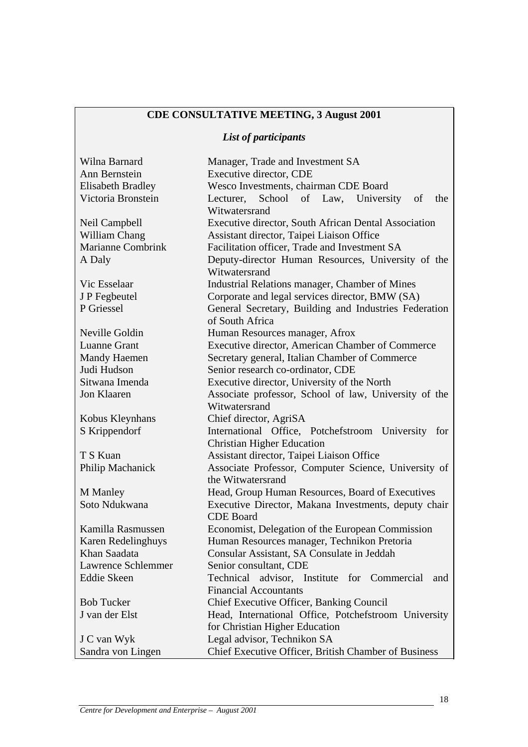# **CDE CONSULTATIVE MEETING, 3 August 2001**

# *List of participants*

| Wilna Barnard             | Manager, Trade and Investment SA                                  |  |  |
|---------------------------|-------------------------------------------------------------------|--|--|
| Ann Bernstein             | Executive director, CDE                                           |  |  |
| <b>Elisabeth Bradley</b>  | Wesco Investments, chairman CDE Board                             |  |  |
| Victoria Bronstein        | Lecturer, School of Law, University<br>of<br>the<br>Witwatersrand |  |  |
| Neil Campbell             | Executive director, South African Dental Association              |  |  |
| William Chang             | Assistant director, Taipei Liaison Office                         |  |  |
| <b>Marianne Combrink</b>  | Facilitation officer, Trade and Investment SA                     |  |  |
| A Daly                    | Deputy-director Human Resources, University of the                |  |  |
|                           | Witwatersrand                                                     |  |  |
| Vic Esselaar              | Industrial Relations manager, Chamber of Mines                    |  |  |
| J P Fegbeutel             | Corporate and legal services director, BMW (SA)                   |  |  |
| P Griessel                | General Secretary, Building and Industries Federation             |  |  |
|                           | of South Africa                                                   |  |  |
| Neville Goldin            | Human Resources manager, Afrox                                    |  |  |
| <b>Luanne Grant</b>       | Executive director, American Chamber of Commerce                  |  |  |
| <b>Mandy Haemen</b>       | Secretary general, Italian Chamber of Commerce                    |  |  |
| Judi Hudson               | Senior research co-ordinator, CDE                                 |  |  |
| Sitwana Imenda            | Executive director, University of the North                       |  |  |
| Jon Klaaren               | Associate professor, School of law, University of the             |  |  |
|                           | Witwatersrand                                                     |  |  |
| Kobus Kleynhans           | Chief director, AgriSA                                            |  |  |
| S Krippendorf             | International Office, Potchefstroom University for                |  |  |
|                           | <b>Christian Higher Education</b>                                 |  |  |
| T S Kuan                  | Assistant director, Taipei Liaison Office                         |  |  |
| Philip Machanick          | Associate Professor, Computer Science, University of              |  |  |
|                           | the Witwatersrand                                                 |  |  |
| <b>M</b> Manley           | Head, Group Human Resources, Board of Executives                  |  |  |
| Soto Ndukwana             | Executive Director, Makana Investments, deputy chair              |  |  |
|                           | <b>CDE</b> Board                                                  |  |  |
| Kamilla Rasmussen         | Economist, Delegation of the European Commission                  |  |  |
| <b>Karen Redelinghuys</b> | Human Resources manager, Technikon Pretoria                       |  |  |
| Khan Saadata              | Consular Assistant, SA Consulate in Jeddah                        |  |  |
| <b>Lawrence Schlemmer</b> | Senior consultant, CDE                                            |  |  |
| <b>Eddie Skeen</b>        | Technical advisor, Institute for Commercial<br>and                |  |  |
|                           | <b>Financial Accountants</b>                                      |  |  |
| <b>Bob Tucker</b>         | Chief Executive Officer, Banking Council                          |  |  |
| J van der Elst            | Head, International Office, Potchefstroom University              |  |  |
|                           | for Christian Higher Education                                    |  |  |
| J C van Wyk               | Legal advisor, Technikon SA                                       |  |  |
| Sandra von Lingen         | Chief Executive Officer, British Chamber of Business              |  |  |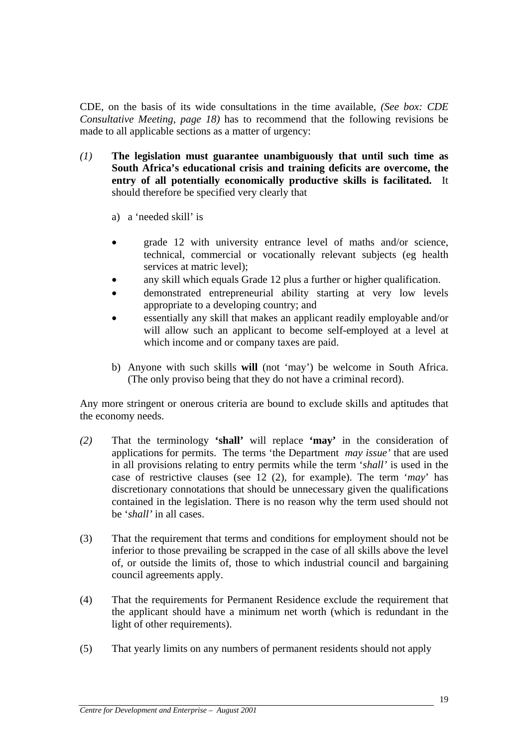CDE, on the basis of its wide consultations in the time available*, (See box: CDE Consultative Meeting, page 18)* has to recommend that the following revisions be made to all applicable sections as a matter of urgency:

- *(1)* **The legislation must guarantee unambiguously that until such time as South Africa's educational crisis and training deficits are overcome, the entry of all potentially economically productive skills is facilitated.** It should therefore be specified very clearly that
	- a) a 'needed skill' is
	- grade 12 with university entrance level of maths and/or science, technical, commercial or vocationally relevant subjects (eg health services at matric level);
	- any skill which equals Grade 12 plus a further or higher qualification.
	- demonstrated entrepreneurial ability starting at very low levels appropriate to a developing country; and
	- essentially any skill that makes an applicant readily employable and/or will allow such an applicant to become self-employed at a level at which income and or company taxes are paid.
	- b) Anyone with such skills **will** (not 'may') be welcome in South Africa. (The only proviso being that they do not have a criminal record).

Any more stringent or onerous criteria are bound to exclude skills and aptitudes that the economy needs.

- *(2)* That the terminology **'shall'** will replace **'may'** in the consideration of applications for permits. The terms 'the Department *may issue'* that are used in all provisions relating to entry permits while the term '*shall'* is used in the case of restrictive clauses (see 12 (2), for example). The term '*may*' has discretionary connotations that should be unnecessary given the qualifications contained in the legislation. There is no reason why the term used should not be '*shall'* in all cases.
- (3) That the requirement that terms and conditions for employment should not be inferior to those prevailing be scrapped in the case of all skills above the level of, or outside the limits of, those to which industrial council and bargaining council agreements apply.
- (4) That the requirements for Permanent Residence exclude the requirement that the applicant should have a minimum net worth (which is redundant in the light of other requirements).
- (5) That yearly limits on any numbers of permanent residents should not apply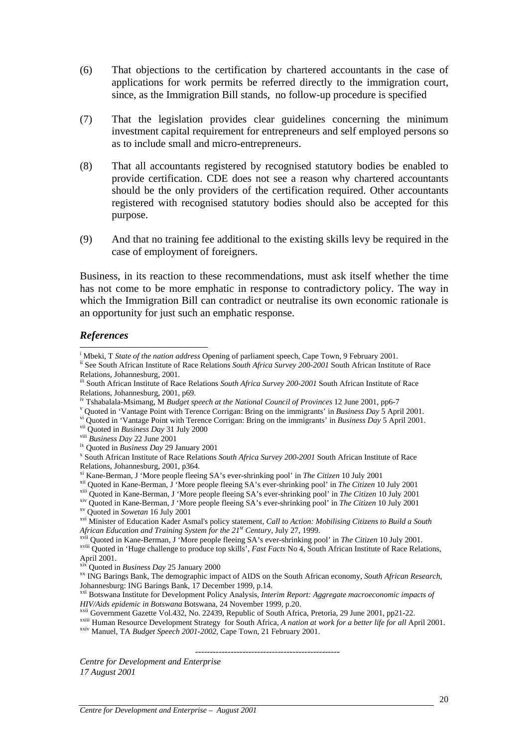- (6) That objections to the certification by chartered accountants in the case of applications for work permits be referred directly to the immigration court, since, as the Immigration Bill stands, no follow-up procedure is specified
- (7) That the legislation provides clear guidelines concerning the minimum investment capital requirement for entrepreneurs and self employed persons so as to include small and micro-entrepreneurs.
- (8) That all accountants registered by recognised statutory bodies be enabled to provide certification. CDE does not see a reason why chartered accountants should be the only providers of the certification required. Other accountants registered with recognised statutory bodies should also be accepted for this purpose.
- (9) And that no training fee additional to the existing skills levy be required in the case of employment of foreigners.

Business, in its reaction to these recommendations, must ask itself whether the time has not come to be more emphatic in response to contradictory policy. The way in which the Immigration Bill can contradict or neutralise its own economic rationale is an opportunity for just such an emphatic response.

#### *References*

 $\overline{a}$ 

*HIV/Aids epidemic in Botswana* Botswana, 24 November 1999, p.20.<br><sup>xxii</sup> Government Gazette Vol.432, No. 22439, Republic of South Africa, Pretoria, 29 June 2001, pp21-22.<br><sup>xxiii</sup> Human Resource Development Strategy for Sou

 *-------------------------------------------------* 

*Centre for Development and Enterprise 17 August 2001*

<sup>&</sup>lt;sup>i</sup> Mbeki. T *State of the nation address* Opening of parliament speech. Cape Town, 9 February 2001.

<sup>&</sup>lt;sup>ii</sup> See South African Institute of Race Relations South Africa Survey 200-2001 South African Institute of Race Relations, Johannesburg, 2001.

iii South African Institute of Race Relations *South Africa Survey 200-2001* South African Institute of Race Relations, Johannesburg, 2001, p69.

<sup>&</sup>lt;sup>iv</sup> Tshabalala-Msimang, M *Budget speech at the National Council of Provinces* 12 June 2001, pp6-7<br><sup>v</sup> Quoted in 'Vantage Point with Terence Corrigan: Bring on the immigrants' in *Business Day* 5 April 2001.

<sup>&</sup>lt;sup>vi</sup> Quoted in 'Vantage Point with Terence Corrigan: Bring on the immigrants' in *Business Day* 5 April 2001.<br>
<sup>vii</sup> Quoted in *Business Day* 31 July 2000<br>
<sup>vii</sup> *Business Day* 22 June 2001<br>
<sup>ix</sup> Ouoted in *Business Day*

South African Institute of Race Relations *South Africa Survey 200-2001* South African Institute of Race Relations, Johannesburg, 2001, p364.<br>
<sup>xi</sup> Kane-Berman, J 'More people fleeing SA's ever-shrinking pool' in *The Citizen* 10 July 2001

<sup>&</sup>lt;sup>xii</sup> Quoted in Kane-Berman, J 'More people fleeing SA's ever-shrinking pool' in *The Citizen* 10 July 2001<br><sup>xii</sup> Quoted in Kane-Berman, J 'More people fleeing SA's ever-shrinking pool' in *The Citizen* 10 July 2001<br><sup>xiv</sup>

<sup>&</sup>lt;sup>xvii</sup> Quoted in Kane-Berman, J 'More people fleeing SA's ever-shrinking pool' in *The Citizen* 10 July 2001.<br><sup>xviii</sup> Quoted in 'Huge challenge to produce top skills', *Fast Facts* No 4, South African Institute of Race Re

April 2001.<br>
<sup>xix</sup> Ouoted in *Business Day* 25 January 2000

<sup>&</sup>lt;sup>xx</sup> ING Barings Bank, The demographic impact of AIDS on the South African economy, *South African Research*, Johannesburg: ING Barings Bank, 17 December 1999, p.14.

xxi Botswana Institute for Development Policy Analysis, *Interim Report: Aggregate macroeconomic impacts of*